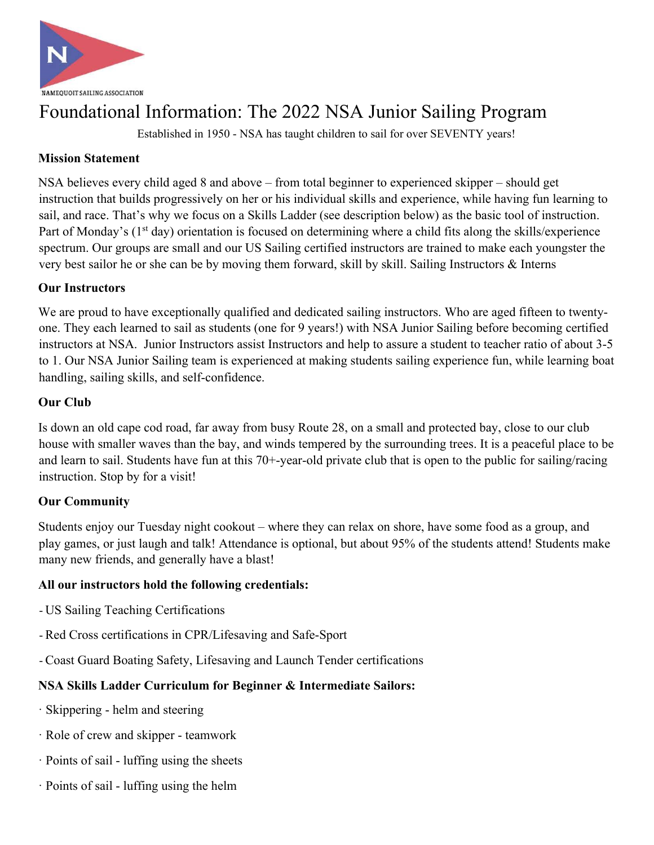

# Foundational Information: The 2022 NSA Junior Sailing Program

Established in 1950 - NSA has taught children to sail for over SEVENTY years!

## **Mission Statement**

NSA believes every child aged 8 and above – from total beginner to experienced skipper – should get instruction that builds progressively on her or his individual skills and experience, while having fun learning to sail, and race. That's why we focus on a Skills Ladder (see description below) as the basic tool of instruction. Part of Monday's (1<sup>st</sup> day) orientation is focused on determining where a child fits along the skills/experience spectrum. Our groups are small and our US Sailing certified instructors are trained to make each youngster the very best sailor he or she can be by moving them forward, skill by skill. Sailing Instructors & Interns

#### **Our Instructors**

We are proud to have exceptionally qualified and dedicated sailing instructors. Who are aged fifteen to twentyone. They each learned to sail as students (one for 9 years!) with NSA Junior Sailing before becoming certified instructors at NSA. Junior Instructors assist Instructors and help to assure a student to teacher ratio of about 3-5 to 1. Our NSA Junior Sailing team is experienced at making students sailing experience fun, while learning boat handling, sailing skills, and self-confidence.

## **Our Club**

Is down an old cape cod road, far away from busy Route 28, on a small and protected bay, close to our club house with smaller waves than the bay, and winds tempered by the surrounding trees. It is a peaceful place to be and learn to sail. Students have fun at this 70+-year-old private club that is open to the public for sailing/racing instruction. Stop by for a visit!

#### **Our Community**

Students enjoy our Tuesday night cookout – where they can relax on shore, have some food as a group, and play games, or just laugh and talk! Attendance is optional, but about 95% of the students attend! Students make many new friends, and generally have a blast!

#### **All our instructors hold the following credentials:**

- US Sailing Teaching Certifications
- Red Cross certifications in CPR/Lifesaving and Safe-Sport
- Coast Guard Boating Safety, Lifesaving and Launch Tender certifications

#### **NSA Skills Ladder Curriculum for Beginner & Intermediate Sailors:**

- · Skippering helm and steering
- · Role of crew and skipper teamwork
- · Points of sail luffing using the sheets
- · Points of sail luffing using the helm